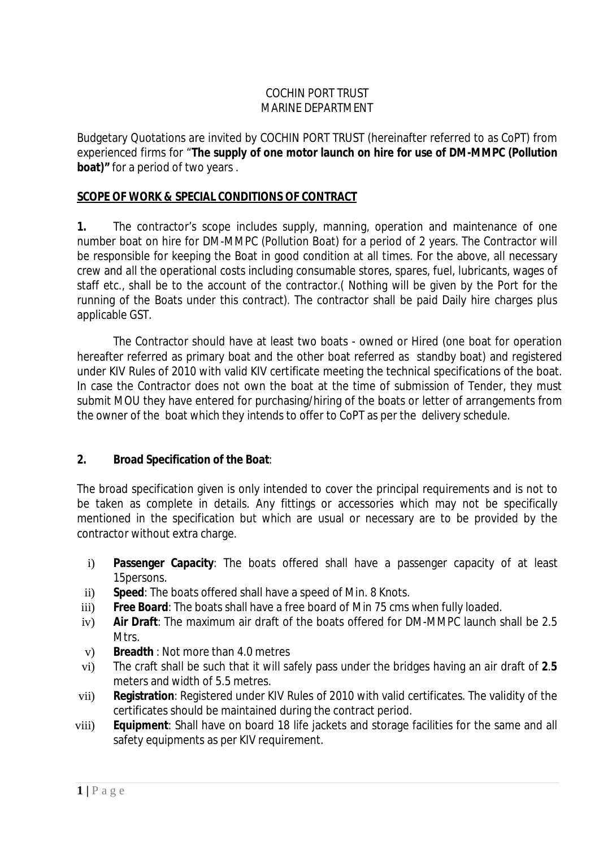## COCHIN PORT TRUST MARINE DEPARTMENT

Budgetary Quotations are invited by COCHIN PORT TRUST (hereinafter referred to as CoPT) from experienced firms for "**The supply of one motor launch on hire for use of DM-MMPC (Pollution boat)"** for a period of two years .

## **SCOPE OF WORK & SPECIAL CONDITIONS OF CONTRACT**

**1.** The contractor's scope includes supply, manning, operation and maintenance of one number boat on hire for DM-MMPC (Pollution Boat) for a period of 2 years. The Contractor will be responsible for keeping the Boat in good condition at all times. For the above, all necessary crew and all the operational costs including consumable stores, spares, fuel, lubricants, wages of staff etc., shall be to the account of the contractor.( Nothing will be given by the Port for the running of the Boats under this contract). The contractor shall be paid Daily hire charges plus applicable GST.

The Contractor should have at least two boats - owned or Hired (one boat for operation hereafter referred as primary boat and the other boat referred as standby boat) and registered under KIV Rules of 2010 with valid KIV certificate meeting the technical specifications of the boat. In case the Contractor does not own the boat at the time of submission of Tender, they must submit MOU they have entered for purchasing/hiring of the boats or letter of arrangements from the owner of the boat which they intends to offer to CoPT as per the delivery schedule.

## **2. Broad Specification of the Boat**:

The broad specification given is only intended to cover the principal requirements and is not to be taken as complete in details. Any fittings or accessories which may not be specifically mentioned in the specification but which are usual or necessary are to be provided by the contractor without extra charge.

- i) **Passenger Capacity**: The boats offered shall have a passenger capacity of at least 15persons.
- ii) **Speed**: The boats offered shall have a speed of Min. 8 Knots.
- iii) **Free Board**: The boats shall have a free board of Min 75 cms when fully loaded.
- iv) **Air Draft**: The maximum air draft of the boats offered for DM-MMPC launch shall be 2.5 **Mtrs**.
- v) **Breadth** : Not more than 4.0 metres
- vi) The craft shall be such that it will safely pass under the bridges having an air draft of **2**.**5** meters and width of 5.5 metres.
- vii) **Registration**: Registered under KIV Rules of 2010 with valid certificates. The validity of the certificates should be maintained during the contract period.
- viii) **Equipment**: Shall have on board 18 life jackets and storage facilities for the same and all safety equipments as per KIV requirement.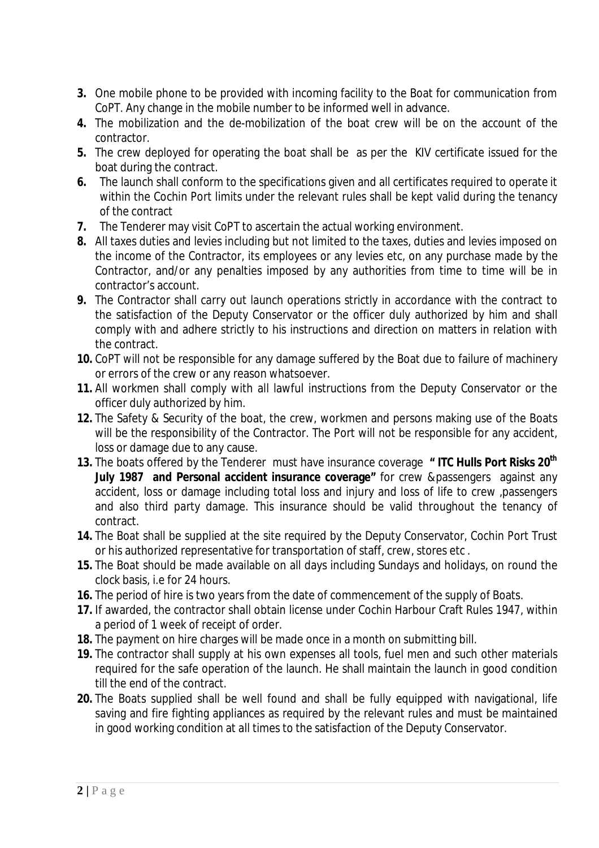- **3.** One mobile phone to be provided with incoming facility to the Boat for communication from CoPT. Any change in the mobile number to be informed well in advance.
- **4.** The mobilization and the de-mobilization of the boat crew will be on the account of the contractor.
- **5.** The crew deployed for operating the boat shall be as per the KIV certificate issued for the boat during the contract.
- **6.** The launch shall conform to the specifications given and all certificates required to operate it within the Cochin Port limits under the relevant rules shall be kept valid during the tenancy of the contract
- **7.** The Tenderer may visit CoPT to ascertain the actual working environment.
- **8.** All taxes duties and levies including but not limited to the taxes, duties and levies imposed on the income of the Contractor, its employees or any levies etc, on any purchase made by the Contractor, and/or any penalties imposed by any authorities from time to time will be in contractor's account.
- **9.** The Contractor shall carry out launch operations strictly in accordance with the contract to the satisfaction of the Deputy Conservator or the officer duly authorized by him and shall comply with and adhere strictly to his instructions and direction on matters in relation with the contract.
- **10.** CoPT will not be responsible for any damage suffered by the Boat due to failure of machinery or errors of the crew or any reason whatsoever.
- **11.** All workmen shall comply with all lawful instructions from the Deputy Conservator or the officer duly authorized by him.
- **12.** The Safety & Security of the boat, the crew, workmen and persons making use of the Boats will be the responsibility of the Contractor. The Port will not be responsible for any accident, loss or damage due to any cause.
- **13.** The boats offered by the Tenderer must have insurance coverage **" ITC Hulls Port Risks 20th July 1987 and Personal accident insurance coverage"** for crew &passengers against any accident, loss or damage including total loss and injury and loss of life to crew ,passengers and also third party damage. This insurance should be valid throughout the tenancy of contract.
- **14.** The Boat shall be supplied at the site required by the Deputy Conservator, Cochin Port Trust or his authorized representative for transportation of staff, crew, stores etc .
- **15.** The Boat should be made available on all days including Sundays and holidays, on round the clock basis, i.e for 24 hours.
- **16.** The period of hire is two years from the date of commencement of the supply of Boats.
- **17.** If awarded, the contractor shall obtain license under Cochin Harbour Craft Rules 1947, within a period of 1 week of receipt of order.
- **18.** The payment on hire charges will be made once in a month on submitting bill.
- **19.** The contractor shall supply at his own expenses all tools, fuel men and such other materials required for the safe operation of the launch. He shall maintain the launch in good condition till the end of the contract.
- **20.** The Boats supplied shall be well found and shall be fully equipped with navigational, life saving and fire fighting appliances as required by the relevant rules and must be maintained in good working condition at all times to the satisfaction of the Deputy Conservator.